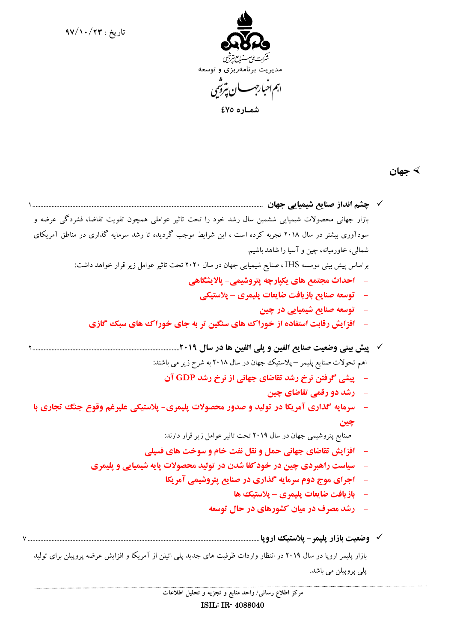**تاريخ : 97/10/23**



 **شمـاره 475**

**جهان** 

 **چشم انداز صنايع شيميايي جهان** [1................................................................................................................................................](#page-2-0) بازار جهاني محصولات شيميايي ششمين سال رشد خود را تحت تاثير عواملي همچون تقويت تقاضا، فشردگي عرضه و سودآوري بيشتر در سال 2018 تجربه كرده است ، اين شرايط موجب گرديده تا رشد سرمايه گذاري در مناطق آمريكاي شمالي، خاورميانه، چين و آسيا را شاهد باشيم. براساس پيش بيني موسسه IHS ، صنايع شيميايي جهان در سال 2020 تحت تاثيرعوامل زيرقرار خواهد داشت: **- احداث مجتمع هاي يكپارچه پتروشيمي- پالايشگاهي - توسعه صنايع بازيافت ضايعات پليمري – پلاستيكي - توسعه صنايع شيميايي در چين - افزايش رقابت استفاده از خوراك هاي سنگين تر به جاي خوراك هاي سبك گازي پيش بيني وضعيت صنايع الفين و پلي الفين ها در سال** [2............................................................................................](#page-3-0)**2019** اهم تحولات صنايع پليمر – پلاستيك جهان در سال 2018 به شرح زيرمي باشند: **- پيشي گرفتن نرخ رشد تقاضاي جهاني از نرخ رشد GDP آن - رشد دو رقمي تقاضاي چين - سرمايه گذاري آمريكا در توليد و صدور محصولات پليمري- پلاستيكي عليرغم وقوع جنگ تجاري با چين** صنايع پتروشيمي جهان در سال 2019 تحت تاثيرعوامل زيرقرار دارند: **- افزايش تقاضاي جهاني حمل و نقل نفت خام و سوخت هاي فسيلي - سياست راهبردي چين در خودكفا شدن در توليد محصولات پايه شيميايي و پليمري - اجراي موج دوم سرمايه گذاري در صنايع پتروشيمي آمريكا - بازيافت ضايعات پليمري – پلاستيك ها - رشد مصرف در ميان كشورهاي در حال توسعه وضعيت بازار پليمر- پلاستيك اروپا**[.................................................................................................................................................](#page-8-0) 7

بازار پليمر اروپا در سال 2019 در انتظار واردات ظرفيت هاي جديد پلي اتيلن از آمريكا و افزايش عرضه پروپيلن براي توليد پلي پروپيلن مي باشد.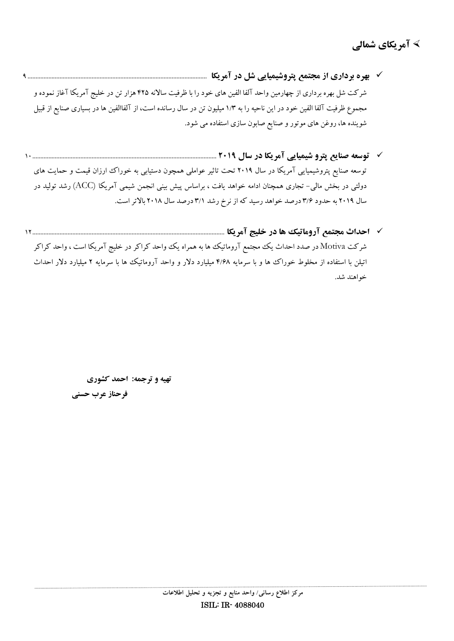- **بهره برداري از مجتمع پتروشيميايي شل در آمريكا** [................................................................................................................](#page-10-0) 9 شركت شل بهره برداري از چهارمين واحد آلفا الفين هاي خود را با ظرفيت سالانه 425 هزار تن در خليج آمريكا آغاز نموده و مجموع ظرفيت آلفا الفين خود در اين ناحيه را به 1/3 ميليون تن در سال رسانده است، از آلفاالفين ها در بسياري صنايع از قبيل شوينده ها، روغن هاي موتور و صنايع صابون سازي استفاده مي شود.
- **توسعه صنايع پترو شيميايي آمريكا در سال 2019** [10...................................................................................................................](#page-11-0) توسعه صنايع پتروشيميايي آمريكا در سال 2019 تحت تاثير عواملي همچون دستيابي به خوراك ارزان قيمت و حمايت هاي دولتي در بخش مالي- تجاري همچنان ادامه خواهد يافت ، براساس پيش بيني انجمن شيمي آمريكا (ACC (رشد توليد در سال 2019 به حدود 3/6 درصد خواهد رسيد كه از نرخ رشد 3/1 درصد سال 2018 بالاتراست.
- **احداث مجتمع آروماتيك ها در خليج آمريكا** [12........................................................................................................................](#page-13-0) شركت Motiva در صدد احداث يك مجتمع آروماتيك ها به همراه يك واحد كراكر در خليج آمريكا است ، واحد كراكر اتيلن با استفاده از مخلوط خوراك ها و با سرمايه 4/68 ميليارد دلار و واحد آروماتيك ها با سرمايه 2 ميليارد دلار احداث خواهند شد.

 **تهيه و ترجمه: احمد كشوري** 

 **فرحناز عرب حسني**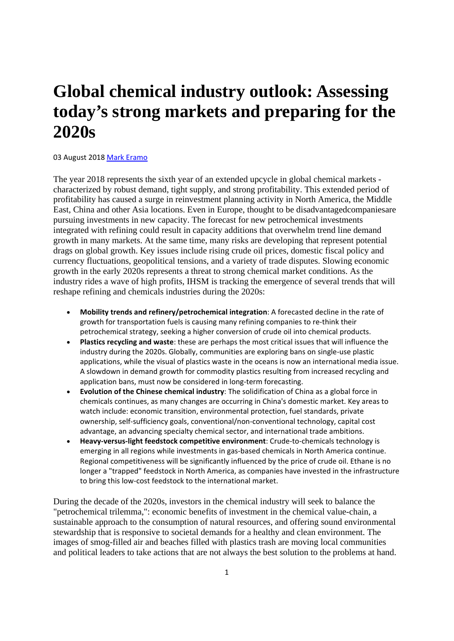## <span id="page-2-0"></span>**Global chemical industry outlook: Assessing today's strong markets and preparing for the 2020s**

### 03 August 2018 Mark Eramo

The year 2018 represents the sixth year of an extended upcycle in global chemical markets characterized by robust demand, tight supply, and strong profitability. This extended period of profitability has caused a surge in reinvestment planning activity in North America, the Middle East, China and other Asia locations. Even in Europe, thought to be disadvantagedcompaniesare pursuing investments in new capacity. The forecast for new petrochemical investments integrated with refining could result in capacity additions that overwhelm trend line demand growth in many markets. At the same time, many risks are developing that represent potential drags on global growth. Key issues include rising crude oil prices, domestic fiscal policy and currency fluctuations, geopolitical tensions, and a variety of trade disputes. Slowing economic growth in the early 2020s represents a threat to strong chemical market conditions. As the industry rides a wave of high profits, IHSM is tracking the emergence of several trends that will reshape refining and chemicals industries during the 2020s:

- **Mobility trends and refinery/petrochemical integration**: A forecasted decline in the rate of growth for transportation fuels is causing many refining companies to re-think their petrochemical strategy, seeking a higher conversion of crude oil into chemical products.
- **Plastics recycling and waste**: these are perhaps the most critical issues that will influence the industry during the 2020s. Globally, communities are exploring bans on single-use plastic applications, while the visual of plastics waste in the oceans is now an international media issue. A slowdown in demand growth for commodity plastics resulting from increased recycling and application bans, must now be considered in long-term forecasting.
- **Evolution of the Chinese chemical industry**: The solidification of China as a global force in chemicals continues, as many changes are occurring in China's domestic market. Key areas to watch include: economic transition, environmental protection, fuel standards, private ownership, self-sufficiency goals, conventional/non-conventional technology, capital cost advantage, an advancing specialty chemical sector, and international trade ambitions.
- **Heavy-versus-light feedstock competitive environment**: Crude-to-chemicals technology is emerging in all regions while investments in gas-based chemicals in North America continue. Regional competitiveness will be significantly influenced by the price of crude oil. Ethane is no longer a "trapped" feedstock in North America, as companies have invested in the infrastructure to bring this low-cost feedstock to the international market.

During the decade of the 2020s, investors in the chemical industry will seek to balance the "petrochemical trilemma,": economic benefits of investment in the chemical value-chain, a sustainable approach to the consumption of natural resources, and offering sound environmental stewardship that is responsive to societal demands for a healthy and clean environment. The images of smog-filled air and beaches filled with plastics trash are moving local communities and political leaders to take actions that are not always the best solution to the problems at hand.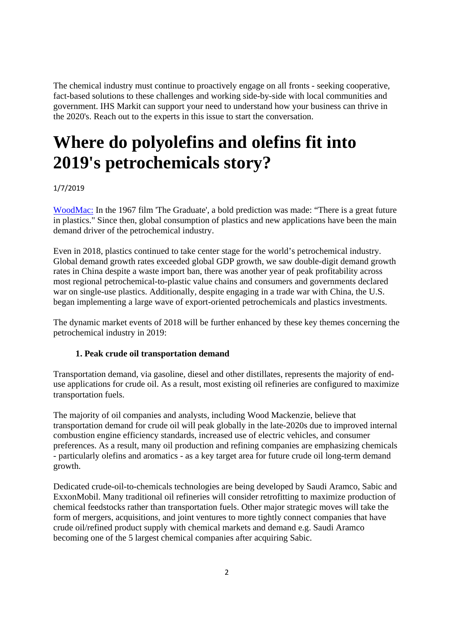<span id="page-3-0"></span>The chemical industry must continue to proactively engage on all fronts - seeking cooperative, fact-based solutions to these challenges and working side-by-side with local communities and government. IHS Markit can support your need to understand how your business can thrive in the 2020's. Reach out to the experts in this issue to start the conversation.

# **Where do polyolefins and olefins fit into 2019's petrochemicals story?**

### 1/7/2019

WoodMac: In the 1967 film 'The Graduate', a bold prediction was made: "There is a great future in plastics." Since then, global consumption of plastics and new applications have been the main demand driver of the petrochemical industry.

Even in 2018, plastics continued to take center stage for the world's petrochemical industry. Global demand growth rates exceeded global GDP growth, we saw double-digit demand growth rates in China despite a waste import ban, there was another year of peak profitability across most regional petrochemical-to-plastic value chains and consumers and governments declared war on single-use plastics. Additionally, despite engaging in a trade war with China, the U.S. began implementing a large wave of export-oriented petrochemicals and plastics investments.

The dynamic market events of 2018 will be further enhanced by these key themes concerning the petrochemical industry in 2019:

### **1. Peak crude oil transportation demand**

Transportation demand, via gasoline, diesel and other distillates, represents the majority of enduse applications for crude oil. As a result, most existing oil refineries are configured to maximize transportation fuels.

The majority of oil companies and analysts, including Wood Mackenzie, believe that transportation demand for crude oil will peak globally in the late-2020s due to improved internal combustion engine efficiency standards, increased use of electric vehicles, and consumer preferences. As a result, many oil production and refining companies are emphasizing chemicals - particularly olefins and aromatics - as a key target area for future crude oil long-term demand growth.

Dedicated crude-oil-to-chemicals technologies are being developed by Saudi Aramco, Sabic and ExxonMobil. Many traditional oil refineries will consider retrofitting to maximize production of chemical feedstocks rather than transportation fuels. Other major strategic moves will take the form of mergers, acquisitions, and joint ventures to more tightly connect companies that have crude oil/refined product supply with chemical markets and demand e.g. Saudi Aramco becoming one of the 5 largest chemical companies after acquiring Sabic.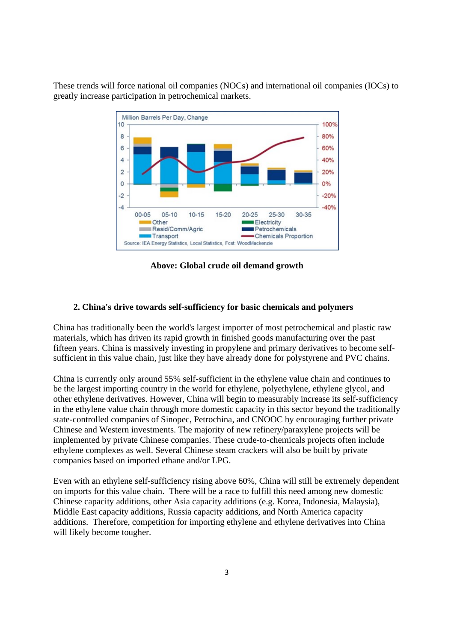These trends will force national oil companies (NOCs) and international oil companies (IOCs) to greatly increase participation in petrochemical markets.



**Above: Global crude oil demand growth**

#### **2. China's drive towards self-sufficiency for basic chemicals and polymers**

China has traditionally been the world's largest importer of most petrochemical and plastic raw materials, which has driven its rapid growth in finished goods manufacturing over the past fifteen years. China is massively investing in propylene and primary derivatives to become selfsufficient in this value chain, just like they have already done for polystyrene and PVC chains.

China is currently only around 55% self-sufficient in the ethylene value chain and continues to be the largest importing country in the world for ethylene, polyethylene, ethylene glycol, and other ethylene derivatives. However, China will begin to measurably increase its self-sufficiency in the ethylene value chain through more domestic capacity in this sector beyond the traditionally state-controlled companies of Sinopec, Petrochina, and CNOOC by encouraging further private Chinese and Western investments. The majority of new refinery/paraxylene projects will be implemented by private Chinese companies. These crude-to-chemicals projects often include ethylene complexes as well. Several Chinese steam crackers will also be built by private companies based on imported ethane and/or LPG.

Even with an ethylene self-sufficiency rising above 60%, China will still be extremely dependent on imports for this value chain. There will be a race to fulfill this need among new domestic Chinese capacity additions, other Asia capacity additions (e.g. Korea, Indonesia, Malaysia), Middle East capacity additions, Russia capacity additions, and North America capacity additions. Therefore, competition for importing ethylene and ethylene derivatives into China will likely become tougher.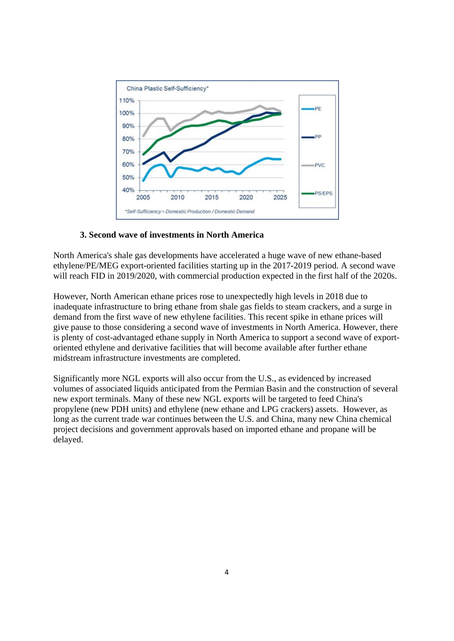

### **3. Second wave of investments in North America**

North America's shale gas developments have accelerated a huge wave of new ethane-based ethylene/PE/MEG export-oriented facilities starting up in the 2017-2019 period. A second wave will reach FID in 2019/2020, with commercial production expected in the first half of the 2020s.

However, North American ethane prices rose to unexpectedly high levels in 2018 due to inadequate infrastructure to bring ethane from shale gas fields to steam crackers, and a surge in demand from the first wave of new ethylene facilities. This recent spike in ethane prices will give pause to those considering a second wave of investments in North America. However, there is plenty of cost-advantaged ethane supply in North America to support a second wave of exportoriented ethylene and derivative facilities that will become available after further ethane midstream infrastructure investments are completed.

Significantly more NGL exports will also occur from the U.S., as evidenced by increased volumes of associated liquids anticipated from the Permian Basin and the construction of several new export terminals. Many of these new NGL exports will be targeted to feed China's propylene (new PDH units) and ethylene (new ethane and LPG crackers) assets. However, as long as the current trade war continues between the U.S. and China, many new China chemical project decisions and government approvals based on imported ethane and propane will be delayed.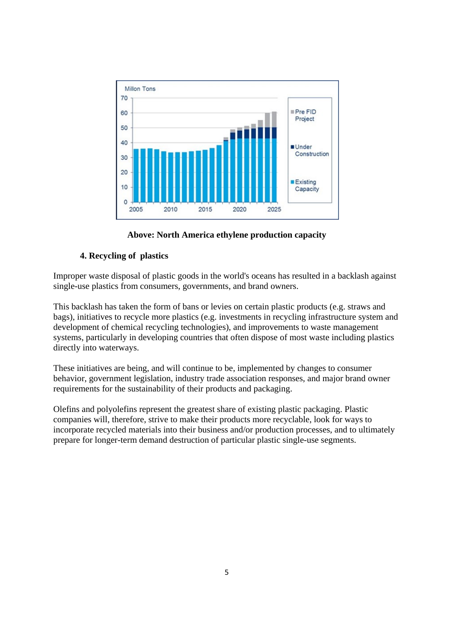

**Above: North America ethylene production capacity**

## **4. Recycling of plastics**

Improper waste disposal of plastic goods in the world's oceans has resulted in a backlash against single-use plastics from consumers, governments, and brand owners.

This backlash has taken the form of bans or levies on certain plastic products (e.g. straws and bags), initiatives to recycle more plastics (e.g. investments in recycling infrastructure system and development of chemical recycling technologies), and improvements to waste management systems, particularly in developing countries that often dispose of most waste including plastics directly into waterways.

These initiatives are being, and will continue to be, implemented by changes to consumer behavior, government legislation, industry trade association responses, and major brand owner requirements for the sustainability of their products and packaging.

Olefins and polyolefins represent the greatest share of existing plastic packaging. Plastic companies will, therefore, strive to make their products more recyclable, look for ways to incorporate recycled materials into their business and/or production processes, and to ultimately prepare for longer-term demand destruction of particular plastic single-use segments.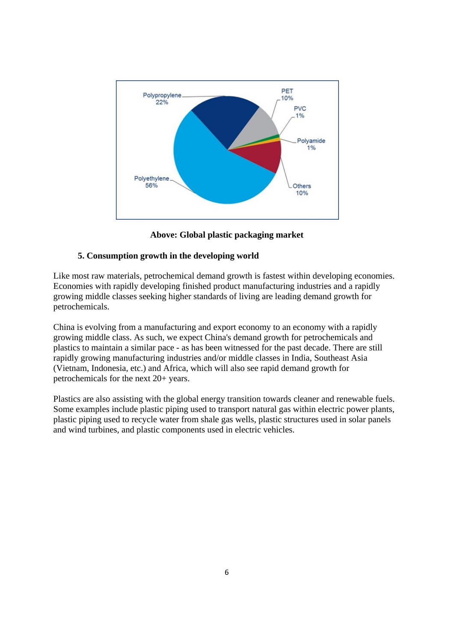

**Above: Global plastic packaging market**

### **5. Consumption growth in the developing world**

Like most raw materials, petrochemical demand growth is fastest within developing economies. Economies with rapidly developing finished product manufacturing industries and a rapidly growing middle classes seeking higher standards of living are leading demand growth for petrochemicals.

China is evolving from a manufacturing and export economy to an economy with a rapidly growing middle class. As such, we expect China's demand growth for petrochemicals and plastics to maintain a similar pace - as has been witnessed for the past decade. There are still rapidly growing manufacturing industries and/or middle classes in India, Southeast Asia (Vietnam, Indonesia, etc.) and Africa, which will also see rapid demand growth for petrochemicals for the next 20+ years.

Plastics are also assisting with the global energy transition towards cleaner and renewable fuels. Some examples include plastic piping used to transport natural gas within electric power plants, plastic piping used to recycle water from shale gas wells, plastic structures used in solar panels and wind turbines, and plastic components used in electric vehicles.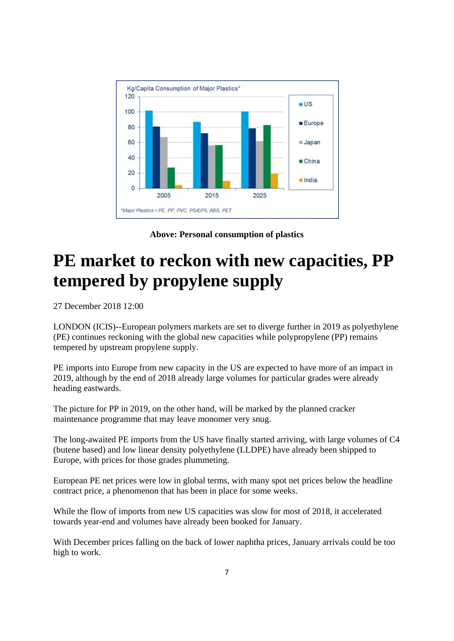<span id="page-8-0"></span>

**Above: Personal consumption of plastics**

# **PE market to reckon with new capacities, PP tempered by propylene supply**

27 December 2018 12:00

LONDON (ICIS)--European polymers markets are set to diverge further in 2019 as polyethylene (PE) continues reckoning with the global new capacities while polypropylene (PP) remains tempered by upstream propylene supply.

PE imports into Europe from new capacity in the US are expected to have more of an impact in 2019, although by the end of 2018 already large volumes for particular grades were already heading eastwards.

The picture for PP in 2019, on the other hand, will be marked by the planned cracker maintenance programme that may leave monomer very snug.

The long-awaited PE imports from the US have finally started arriving, with large volumes of C4 (butene based) and low linear density polyethylene (LLDPE) have already been shipped to Europe, with prices for those grades plummeting.

European PE net prices were low in global terms, with many spot net prices below the headline contract price, a phenomenon that has been in place for some weeks.

While the flow of imports from new US capacities was slow for most of 2018, it accelerated towards year-end and volumes have already been booked for January.

With December prices falling on the back of lower naphtha prices, January arrivals could be too high to work.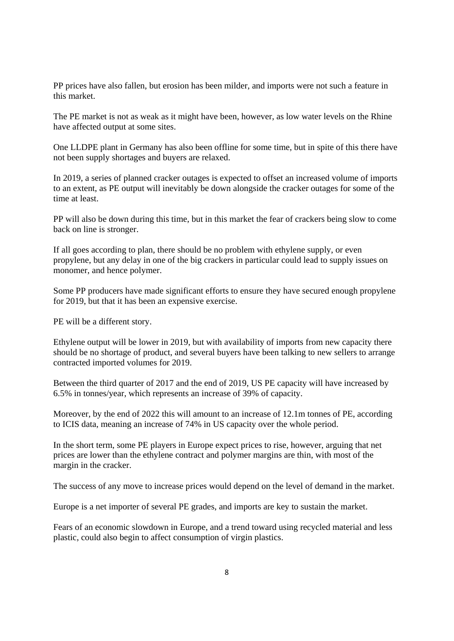PP prices have also fallen, but erosion has been milder, and imports were not such a feature in this market.

The PE market is not as weak as it might have been, however, as low water levels on the Rhine have affected output at some sites.

One LLDPE plant in Germany has also been offline for some time, but in spite of this there have not been supply shortages and buyers are relaxed.

In 2019, a series of planned cracker outages is expected to offset an increased volume of imports to an extent, as PE output will inevitably be down alongside the cracker outages for some of the time at least.

PP will also be down during this time, but in this market the fear of crackers being slow to come back on line is stronger.

If all goes according to plan, there should be no problem with ethylene supply, or even propylene, but any delay in one of the big crackers in particular could lead to supply issues on monomer, and hence polymer.

Some PP producers have made significant efforts to ensure they have secured enough propylene for 2019, but that it has been an expensive exercise.

PE will be a different story.

Ethylene output will be lower in 2019, but with availability of imports from new capacity there should be no shortage of product, and several buyers have been talking to new sellers to arrange contracted imported volumes for 2019.

Between the third quarter of 2017 and the end of 2019, US PE capacity will have increased by 6.5% in tonnes/year, which represents an increase of 39% of capacity.

Moreover, by the end of 2022 this will amount to an increase of 12.1m tonnes of PE, according to ICIS data, meaning an increase of 74% in US capacity over the whole period.

In the short term, some PE players in Europe expect prices to rise, however, arguing that net prices are lower than the ethylene contract and polymer margins are thin, with most of the margin in the cracker.

The success of any move to increase prices would depend on the level of demand in the market.

Europe is a net importer of several PE grades, and imports are key to sustain the market.

Fears of an economic slowdown in Europe, and a trend toward using recycled material and less plastic, could also begin to affect consumption of virgin plastics.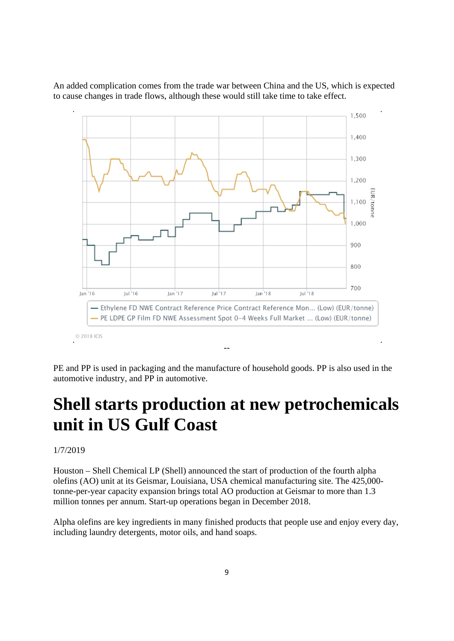<span id="page-10-0"></span>An added complication comes from the trade war between China and the US, which is expected to cause changes in trade flows, although these would still take time to take effect.



PE and PP is used in packaging and the manufacture of household goods. PP is also used in the automotive industry, and PP in automotive.

## **Shell starts production at new petrochemicals unit in US Gulf Coast**

1/7/2019

Houston – Shell Chemical LP (Shell) announced the start of production of the fourth alpha olefins (AO) unit at its Geismar, Louisiana, USA chemical manufacturing site. The 425,000 tonne-per-year capacity expansion brings total AO production at Geismar to more than 1.3 million tonnes per annum. Start-up operations began in December 2018.

Alpha olefins are key ingredients in many finished products that people use and enjoy every day, including laundry detergents, motor oils, and hand soaps.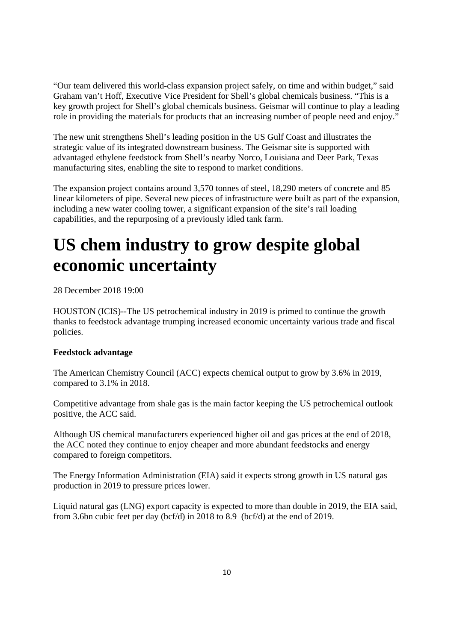<span id="page-11-0"></span>"Our team delivered this world-class expansion project safely, on time and within budget," said Graham van't Hoff, Executive Vice President for Shell's global chemicals business. "This is a key growth project for Shell's global chemicals business. Geismar will continue to play a leading role in providing the materials for products that an increasing number of people need and enjoy."

The new unit strengthens Shell's leading position in the US Gulf Coast and illustrates the strategic value of its integrated downstream business. The Geismar site is supported with advantaged ethylene feedstock from Shell's nearby Norco, Louisiana and Deer Park, Texas manufacturing sites, enabling the site to respond to market conditions.

The expansion project contains around 3,570 tonnes of steel, 18,290 meters of concrete and 85 linear kilometers of pipe. Several new pieces of infrastructure were built as part of the expansion, including a new water cooling tower, a significant expansion of the site's rail loading capabilities, and the repurposing of a previously idled tank farm.

# **US chem industry to grow despite global economic uncertainty**

28 December 2018 19:00

HOUSTON (ICIS)--The US petrochemical industry in 2019 is primed to continue the growth thanks to feedstock advantage trumping increased economic uncertainty various trade and fiscal policies.

### **Feedstock advantage**

The American Chemistry Council (ACC) expects chemical output to grow by 3.6% in 2019, compared to 3.1% in 2018.

Competitive advantage from shale gas is the main factor keeping the US petrochemical outlook positive, the ACC said.

Although US chemical manufacturers experienced higher oil and gas prices at the end of 2018, the ACC noted they continue to enjoy cheaper and more abundant feedstocks and energy compared to foreign competitors.

The Energy Information Administration (EIA) said it expects strong growth in US natural gas production in 2019 to pressure prices lower.

Liquid natural gas (LNG) export capacity is expected to more than double in 2019, the EIA said, from 3.6bn cubic feet per day (bcf/d) in 2018 to 8.9 (bcf/d) at the end of 2019.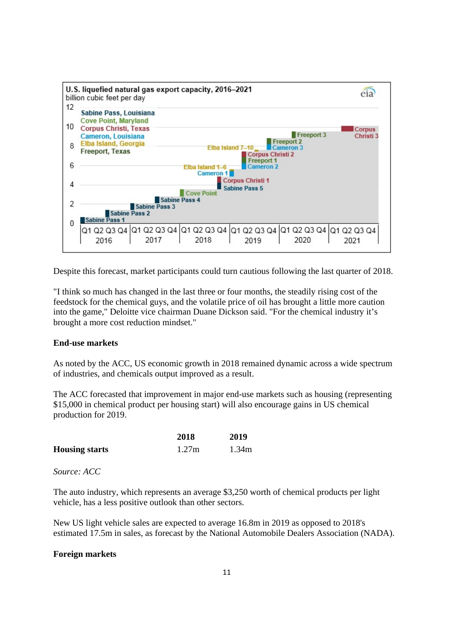

Despite this forecast, market participants could turn cautious following the last quarter of 2018.

"I think so much has changed in the last three or four months, the steadily rising cost of the feedstock for the chemical guys, and the volatile price of oil has brought a little more caution into the game," Deloitte vice chairman Duane Dickson said. "For the chemical industry it's brought a more cost reduction mindset."

### **End-use markets**

As noted by the ACC, US economic growth in 2018 remained dynamic across a wide spectrum of industries, and chemicals output improved as a result.

The ACC forecasted that improvement in major end-use markets such as housing (representing \$15,000 in chemical product per housing start) will also encourage gains in US chemical production for 2019.

|                       | 2018  | 2019  |
|-----------------------|-------|-------|
| <b>Housing starts</b> | 1.27m | 1.34m |

*Source: ACC*

The auto industry, which represents an average \$3,250 worth of chemical products per light vehicle, has a less positive outlook than other sectors.

New US light vehicle sales are expected to average 16.8m in 2019 as opposed to 2018's estimated 17.5m in sales, as forecast by the National Automobile Dealers Association (NADA).

### **Foreign markets**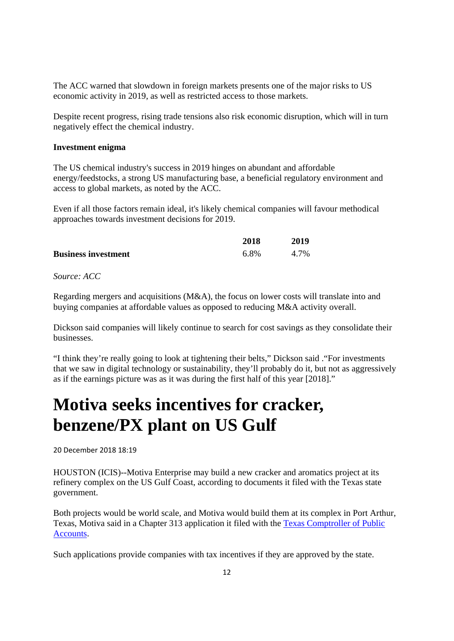<span id="page-13-0"></span>The ACC warned that slowdown in foreign markets presents one of the major risks to US economic activity in 2019, as well as restricted access to those markets.

Despite recent progress, rising trade tensions also risk economic disruption, which will in turn negatively effect the chemical industry.

### **Investment enigma**

The US chemical industry's success in 2019 hinges on abundant and affordable energy/feedstocks, a strong US manufacturing base, a beneficial regulatory environment and access to global markets, as noted by the ACC.

Even if all those factors remain ideal, it's likely chemical companies will favour methodical approaches towards investment decisions for 2019.

|                            | 2018 | 2019 |
|----------------------------|------|------|
| <b>Business investment</b> | 6.8% | 4.7% |

*Source: ACC*

Regarding mergers and acquisitions (M&A), the focus on lower costs will translate into and buying companies at affordable values as opposed to reducing M&A activity overall.

Dickson said companies will likely continue to search for cost savings as they consolidate their businesses.

"I think they're really going to look at tightening their belts," Dickson said ."For investments that we saw in digital technology or sustainability, they'll probably do it, but not as aggressively as if the earnings picture was as it was during the first half of this year [2018]."

## **Motiva seeks incentives for cracker, benzene/PX plant on US Gulf**

20 December 2018 18:19

HOUSTON (ICIS)--Motiva Enterprise may build a new cracker and aromatics project at its refinery complex on the US Gulf Coast, according to documents it filed with the Texas state government.

Both projects would be world scale, and Motiva would build them at its complex in Port Arthur, Texas, Motiva said in a Chapter 313 application it filed with the Texas Comptroller of Public Accounts.

Such applications provide companies with tax incentives if they are approved by the state.